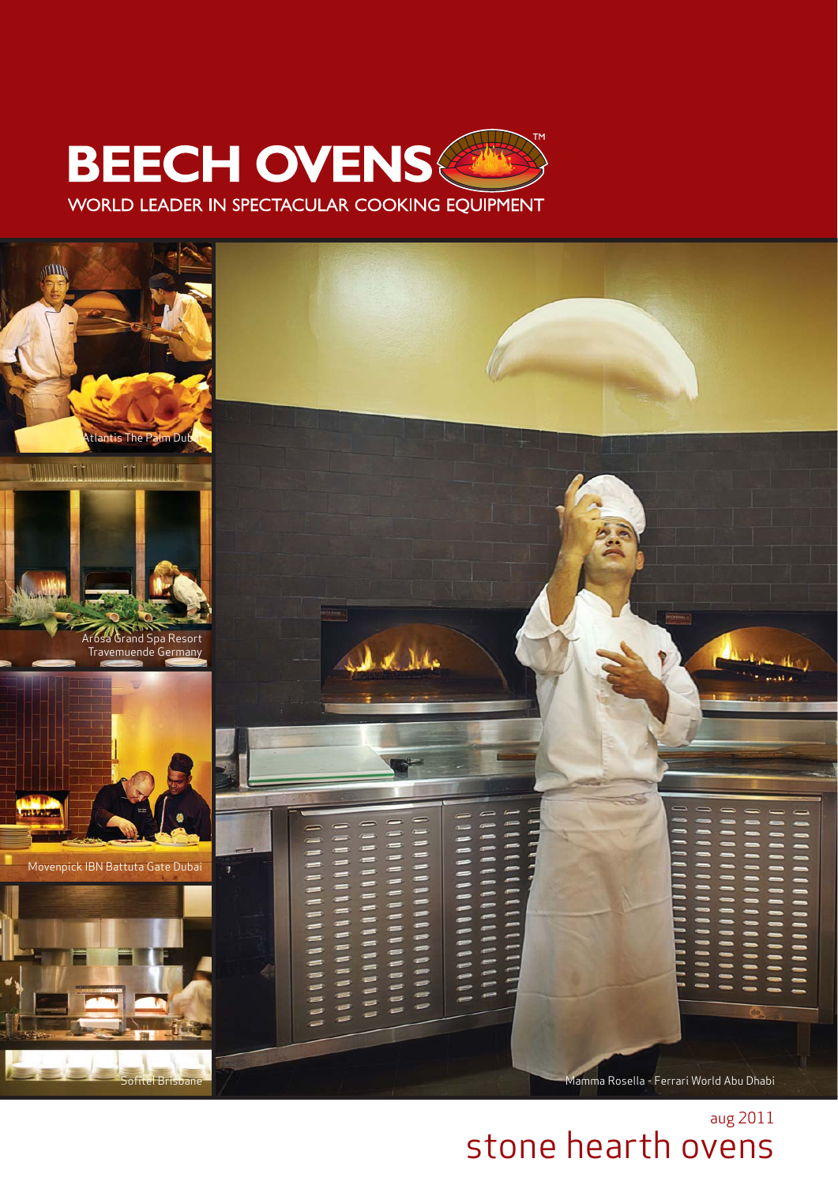



# aug 2011 stone hearth ovens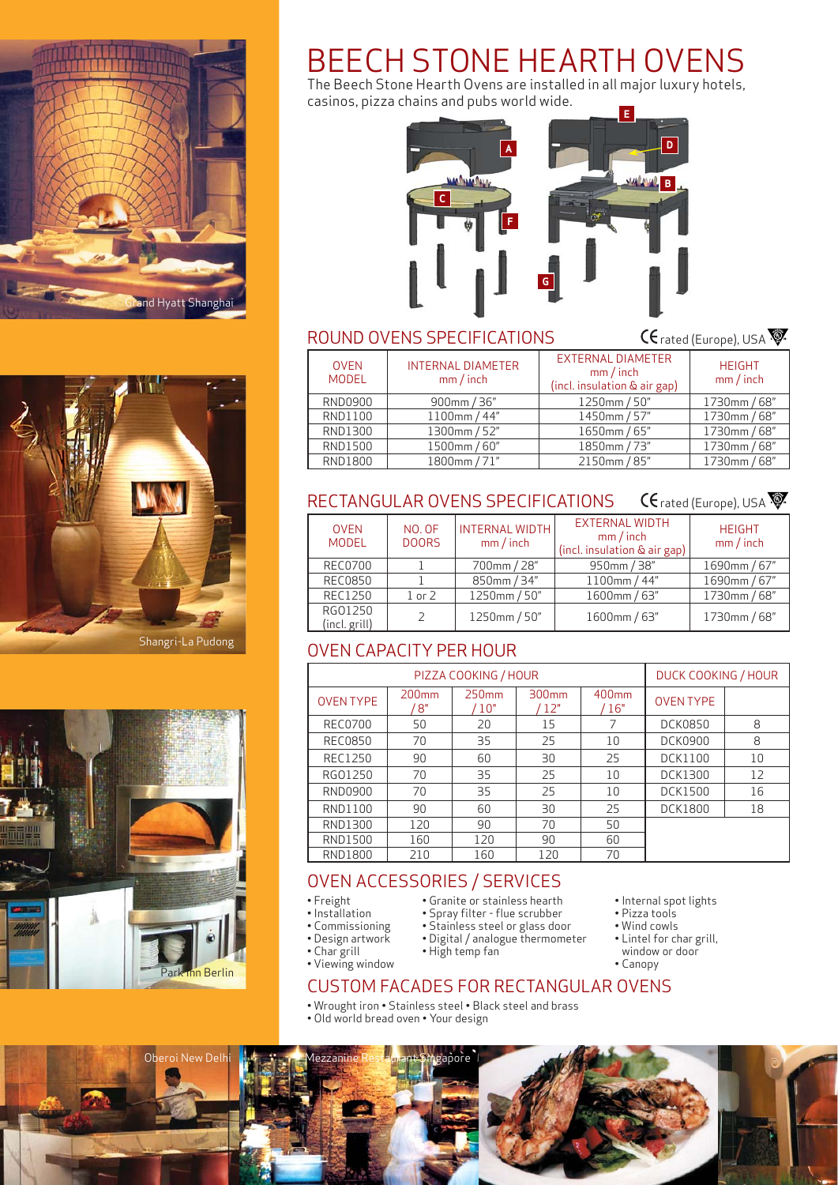





# ROUND OVENS SPECIFICATIONS

 $CF$ rated (Europe), USA

| <b>OVEN</b><br><b>MODEL</b> | <b>INTERNAL DIAMETER</b><br>$mm/$ inch | <b>EXTERNAL DIAMETER</b><br>mm/inch<br>(incl. insulation & air gap) | <b>HEIGHT</b><br>$mm/$ inch |
|-----------------------------|----------------------------------------|---------------------------------------------------------------------|-----------------------------|
| RND0900                     | 900mm / 36"                            | 1250mm / 50"                                                        | 1730mm / 68"                |
| RND1100                     | 1100mm / 44"                           | 1450mm / 57"                                                        | 1730mm / 68"                |
| RND1300                     | 1300mm / 52"                           | 1650mm / 65"                                                        | 1730mm / 68"                |
| RND1500                     | 1500mm / 60"                           | 1850mm / 73"                                                        | 1730mm / 68"                |
| <b>RND1800</b>              | 1800mm / 71"                           | 2150mm / 85"                                                        | 1730mm / 68"                |

#### RECTANGULAR OVENS SPECIFICATIONS  $CF$ rated (Europe), USA

| <b>OVEN</b><br><b>MODEL</b> | NO. OF<br><b>DOORS</b> | <b>INTERNAL WIDTH</b><br>mm/inch | <b>EXTERNAL WIDTH</b><br>mm/inch<br>(incl. insulation & air gap) | <b>HEIGHT</b><br>$mm/$ inch |  |
|-----------------------------|------------------------|----------------------------------|------------------------------------------------------------------|-----------------------------|--|
| <b>REC0700</b>              |                        | 700mm / 28"                      | 950mm / 38"                                                      | 1690mm / 67"                |  |
| <b>REC0850</b>              |                        | 850mm / 34"                      | 1100mm / 44"                                                     | 1690mm / 67"                |  |
| REC1250                     | $1$ or $2$             | 1250mm / 50"                     | 1600mm / 63"                                                     | 1730mm / 68"                |  |
| RG01250<br>(incl. grill)    |                        | 1250mm / 50"                     | 1600mm / 63"                                                     | 1730mm / 68"                |  |

# OVEN CAPACITY PER HOUR

| PIZZA COOKING / HOUR |                         |                          |              |                          | DUCK COOKING / HOUR |    |
|----------------------|-------------------------|--------------------------|--------------|--------------------------|---------------------|----|
| <b>OVEN TYPE</b>     | 200 <sub>mm</sub><br>8" | 250 <sub>mm</sub><br>10" | 300mm<br>12" | 400 <sub>mm</sub><br>16" | <b>OVEN TYPE</b>    |    |
| <b>REC0700</b>       | 50                      | 20                       | 15           |                          | <b>DCK0850</b>      | 8  |
| <b>REC0850</b>       | 70                      | 35                       | 25           | 10                       | <b>DCK0900</b>      | 8  |
| REC1250              | 90                      | 60                       | 30           | 25                       | <b>DCK1100</b>      | 10 |
| RG01250              | 70                      | 35                       | 25           | 10                       | DCK1300             | 12 |
| RND0900              | 70                      | 35                       | 25           | 10                       | <b>DCK1500</b>      | 16 |
| RND1100              | 90                      | 60                       | 30           | 25                       | <b>DCK1800</b>      | 18 |
| RND1300              | 120                     | 90                       | 70           | 50                       |                     |    |
| RND1500              | 160                     | 120                      | 90           | 60                       |                     |    |
| <b>RND1800</b>       | 210                     | 160                      | 120          | 70                       |                     |    |

• Internal spot lights • Pizza tools • Wind cowls • Lintel for char grill,

# OVEN ACCESSORIES / SERVICES

- Freight
- Installation
- Commissioning
- Design artwork
- Char grill
- Digital / analogue thermometer • High temp fan
- Viewing window
- window or door • Canopy

• Granite or stainless hearth • Spray filter - flue scrubber • Stainless steel or glass door

# CUSTOM FACADES FOR RECTANGULAR OVENS

- Wrought iron Stainless steel Black steel and brass
- Old world bread oven Your design





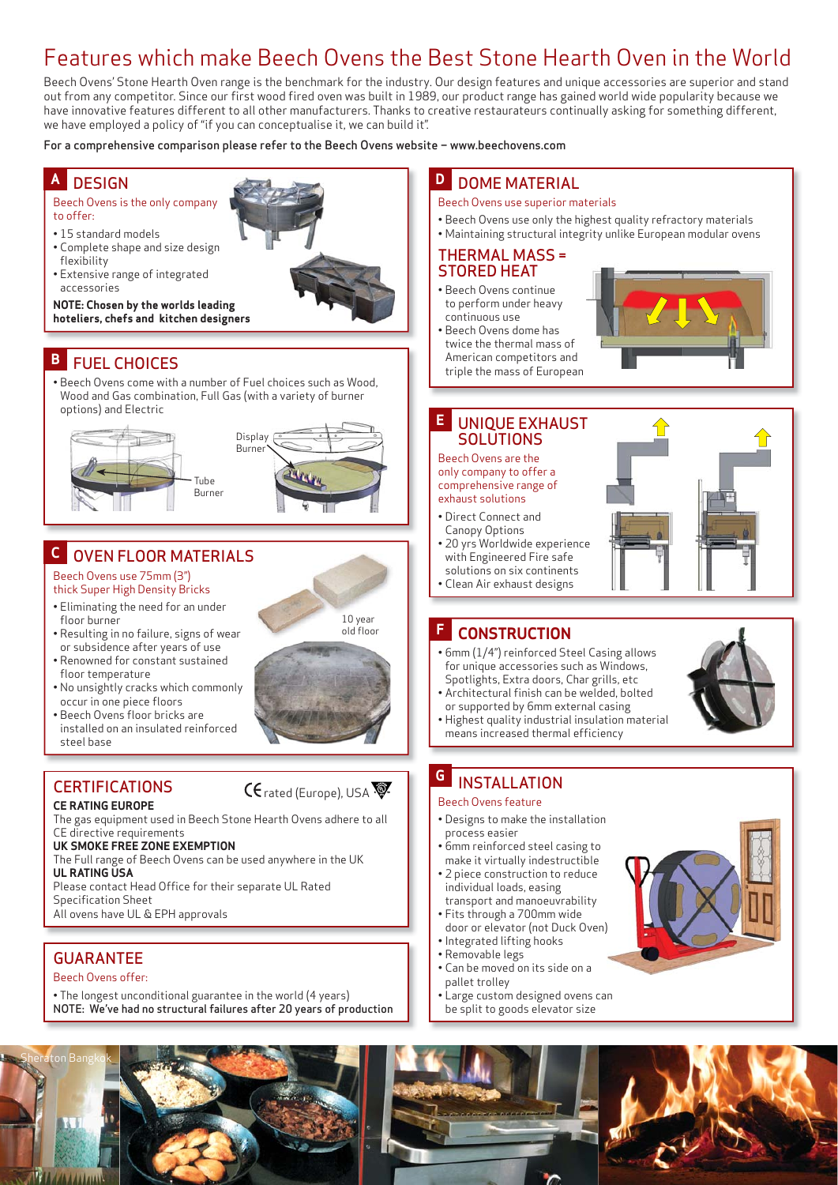# Features which make Beech Ovens the Best Stone Hearth Oven in the World

Beech Ovens' Stone Hearth Oven range is the benchmark for the industry. Our design features and unique accessories are superior and stand out from any competitor. Since our first wood fired oven was built in 1989, our product range has gained world wide popularity because we have innovative features different to all other manufacturers. Thanks to creative restaurateurs continually asking for something different, we have employed a policy of "if you can conceptualise it, we can build it".

For a comprehensive comparison please refer to the Beech Ovens website – www.beechovens.com

#### **DESIGN A**

- Beech Ovens is the only company to offer:
- 15 standard models
- Complete shape and size design flexibility
- Extensive range of integrated accessories

**NOTE: Chosen by the worlds leading hoteliers, chefs and kitchen designers**

# **B** FUEL CHOICES

• Beech Ovens come with a number of Fuel choices such as Wood, Wood and Gas combination, Full Gas (with a variety of burner options) and Electric



# OVEN FLOOR MATERIALS **C**

## Beech Ovens use 75mm (3") thick Super High Density Bricks

- Eliminating the need for an under floor burner
- Resulting in no failure, signs of wear or subsidence after years of use
- Renowned for constant sustained
- floor temperature • No unsightly cracks which commonly
- occur in one piece floors • Beech Ovens floor bricks are
- installed on an insulated reinforced steel base

# **CERTIFICATIONS**

## **CE RATING EUROPE**

The gas equipment used in Beech Stone Hearth Ovens adhere to all CE directive requirements

## **UK SMOKE FREE ZONE EXEMPTION**

The Full range of Beech Ovens can be used anywhere in the UK **UL RATING USA**

Please contact Head Office for their separate UL Rated Specification Sheet

All ovens have UL & EPH approvals

# GUARANTEE

Sheraton Bangkok

## Beech Ovens offer:

• The longest unconditional guarantee in the world (4 years) NOTE: We've had no structural failures after 20 years of production

# **D** DOME MATERIAL

- Beech Ovens use superior materials
- Beech Ovens use only the highest quality refractory materials
- Maintaining structural integrity unlike European modular ovens

## THERMAL MASS = STORED HEAT

- Beech Ovens continue to perform under heavy continuous use
- Beech Ovens dome has twice the thermal mass of American competitors and triple the mass of European



#### UNIQUE EXHAUST SOLUTIONS **E**

Beech Ovens are the only company to offer a comprehensive range of exhaust solutions

- Direct Connect and
- Canopy Options • 20 yrs Worldwide experience with Engineered Fire safe
- solutions on six continents • Clean Air exhaust designs

#### **CONSTRUCTION F**

- 6mm (1/4") reinforced Steel Casing allows for unique accessories such as Windows, Spotlights, Extra doors, Char grills, etc
- Architectural finish can be welded, bolted or supported by 6mm external casing
- Highest quality industrial insulation material means increased thermal efficiency

#### INSTALLATION **G**

## Beech Ovens feature

- Designs to make the installation process easier
- 6mm reinforced steel casing to make it virtually indestructible
- 2 piece construction to reduce individual loads, easing
- transport and manoeuvrability • Fits through a 700mm wide
- door or elevator (not Duck Oven) • Integrated lifting hooks
- Removable legs
- Can be moved on its side on a pallet trolley
- Large custom designed ovens can be split to goods elevator size











CE rated (Europe), USA